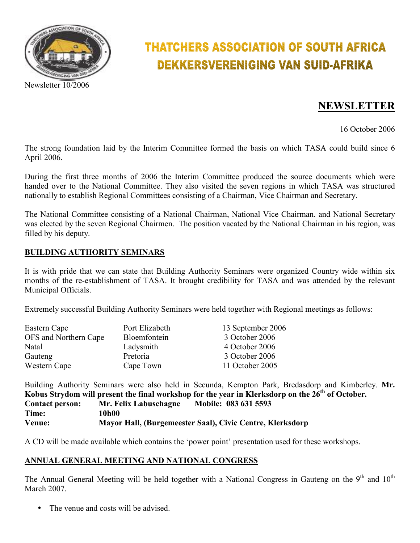

# **THATCHERS ASSOCIATION OF SOUTH AFRICA** DEKKERSVERENIGING VAN SUID-AFRIKA

# **NEWSLETTER**

16 October 2006

The strong foundation laid by the Interim Committee formed the basis on which TASA could build since 6 April 2006.

During the first three months of 2006 the Interim Committee produced the source documents which were handed over to the National Committee. They also visited the seven regions in which TASA was structured nationally to establish Regional Committees consisting of a Chairman, Vice Chairman and Secretary.

The National Committee consisting of a National Chairman, National Vice Chairman. and National Secretary was elected by the seven Regional Chairmen. The position vacated by the National Chairman in his region, was filled by his deputy.

#### **BUILDING AUTHORITY SEMINARS**

It is with pride that we can state that Building Authority Seminars were organized Country wide within six months of the re-establishment of TASA. It brought credibility for TASA and was attended by the relevant Municipal Officials.

Extremely successful Building Authority Seminars were held together with Regional meetings as follows:

| Eastern Cape          | Port Elizabeth | 13 September 2006 |
|-----------------------|----------------|-------------------|
| OFS and Northern Cape | Bloemfontein   | 3 October 2006    |
| Natal                 | Ladysmith      | 4 October 2006    |
| Gauteng               | Pretoria       | 3 October 2006    |
| Western Cape          | Cape Town      | 11 October 2005   |

Building Authority Seminars were also held in Secunda, Kempton Park, Bredasdorp and Kimberley. **Mr. Kobus Strydom will present the final workshop for the year in Klerksdorp on the 26th of October. Contact person: Mr. Felix Labuschagne Mobile: 083 631 5593 Time: 10h00 Venue: Mayor Hall, (Burgemeester Saal), Civic Centre, Klerksdorp** 

A CD will be made available which contains the 'power point' presentation used for these workshops.

#### **ANNUAL GENERAL MEETING AND NATIONAL CONGRESS**

The Annual General Meeting will be held together with a National Congress in Gauteng on the 9<sup>th</sup> and 10<sup>th</sup> March 2007.

The venue and costs will be advised.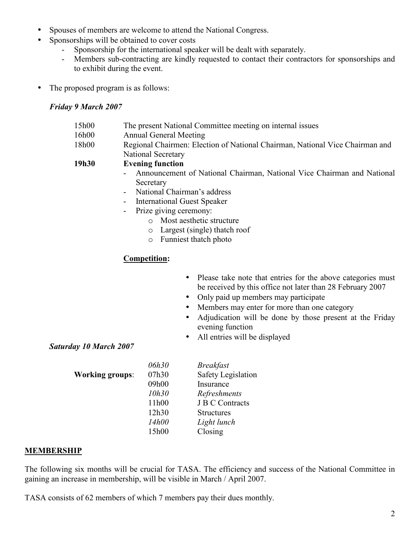- Spouses of members are welcome to attend the National Congress.
	- Sponsorships will be obtained to cover costs
		- Sponsorship for the international speaker will be dealt with separately.
		- Members sub-contracting are kindly requested to contact their contractors for sponsorships and to exhibit during the event.
- The proposed program is as follows:

## *Friday 9 March 2007*

- 15h00 The present National Committee meeting on internal issues
- 16h00 Annual General Meeting
- 18h00 Regional Chairmen: Election of National Chairman, National Vice Chairman and National Secretary

#### **19h30 Evening function**

- Announcement of National Chairman, National Vice Chairman and National **Secretary**
- National Chairman's address
- International Guest Speaker
- Prize giving ceremony:
	- o Most aesthetic structure
	- o Largest (single) thatch roof
	- o Funniest thatch photo

# **Competition:**

- Please take note that entries for the above categories must be received by this office not later than 28 February 2007
- Only paid up members may participate
- Members may enter for more than one category
- Adjudication will be done by those present at the Friday evening function
- All entries will be displayed

#### *Saturday 10 March 2007*

|                        | 06h30 | <b>Breakfast</b>          |
|------------------------|-------|---------------------------|
| <b>Working groups:</b> | 07h30 | <b>Safety Legislation</b> |
|                        | 09h00 | Insurance                 |
|                        | 10h30 | Refreshments              |
|                        | 11h00 | <b>J B C Contracts</b>    |
|                        | 12h30 | <b>Structures</b>         |
|                        | 14h00 | Light lunch               |
|                        | 15h00 | Closing                   |

#### **MEMBERSHIP**

The following six months will be crucial for TASA. The efficiency and success of the National Committee in gaining an increase in membership, will be visible in March / April 2007.

TASA consists of 62 members of which 7 members pay their dues monthly.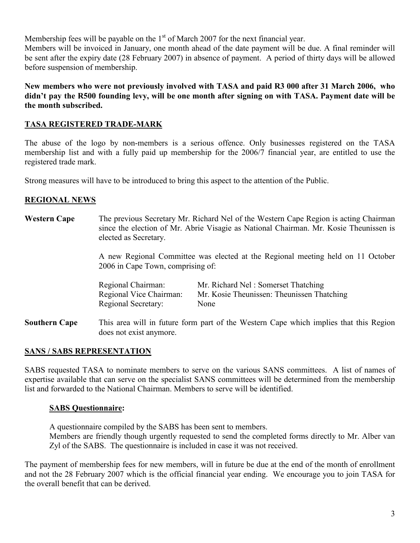Membership fees will be payable on the  $1<sup>st</sup>$  of March 2007 for the next financial year.

Members will be invoiced in January, one month ahead of the date payment will be due. A final reminder will be sent after the expiry date (28 February 2007) in absence of payment. A period of thirty days will be allowed before suspension of membership.

**New members who were not previously involved with TASA and paid R3 000 after 31 March 2006, who didn't pay the R500 founding levy, will be one month after signing on with TASA. Payment date will be the month subscribed.** 

#### **TASA REGISTERED TRADE-MARK**

The abuse of the logo by non-members is a serious offence. Only businesses registered on the TASA membership list and with a fully paid up membership for the 2006/7 financial year, are entitled to use the registered trade mark.

Strong measures will have to be introduced to bring this aspect to the attention of the Public.

## **REGIONAL NEWS**

**Western Cape** The previous Secretary Mr. Richard Nel of the Western Cape Region is acting Chairman since the election of Mr. Abrie Visagie as National Chairman. Mr. Kosie Theunissen is elected as Secretary.

> A new Regional Committee was elected at the Regional meeting held on 11 October 2006 in Cape Town, comprising of:

| Regional Chairman:         | Mr. Richard Nel: Somerset Thatching        |
|----------------------------|--------------------------------------------|
| Regional Vice Chairman:    | Mr. Kosie Theunissen: Theunissen Thatching |
| <b>Regional Secretary:</b> | None                                       |

**Southern Cape** This area will in future form part of the Western Cape which implies that this Region does not exist anymore.

#### **SANS / SABS REPRESENTATION**

SABS requested TASA to nominate members to serve on the various SANS committees. A list of names of expertise available that can serve on the specialist SANS committees will be determined from the membership list and forwarded to the National Chairman. Members to serve will be identified.

#### **SABS Questionnaire:**

A questionnaire compiled by the SABS has been sent to members. Members are friendly though urgently requested to send the completed forms directly to Mr. Alber van Zyl of the SABS. The questionnaire is included in case it was not received.

The payment of membership fees for new members, will in future be due at the end of the month of enrollment and not the 28 February 2007 which is the official financial year ending. We encourage you to join TASA for the overall benefit that can be derived.